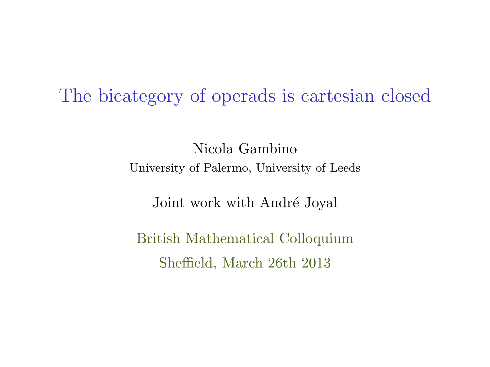#### The bicategory of operads is cartesian closed

Nicola Gambino University of Palermo, University of Leeds

Joint work with André Joyal

British Mathematical Colloquium Sheffield, March 26th 2013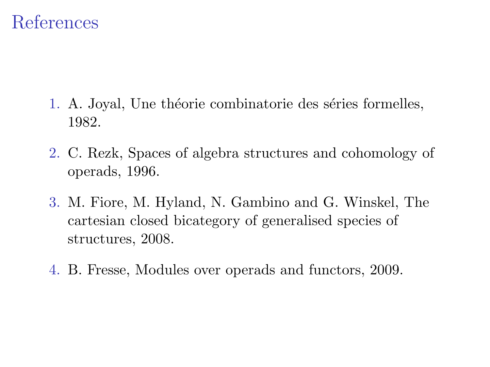#### References

- 1. A. Joyal, Une théorie combinatorie des séries formelles, 1982.
- 2. C. Rezk, Spaces of algebra structures and cohomology of operads, 1996.
- 3. M. Fiore, M. Hyland, N. Gambino and G. Winskel, The cartesian closed bicategory of generalised species of structures, 2008.
- 4. B. Fresse, Modules over operads and functors, 2009.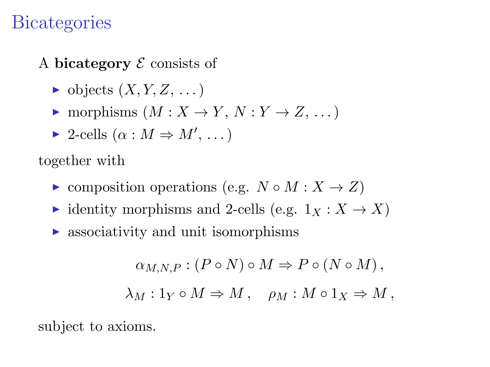### **Bicategories**

- A **bicategory**  $\mathcal E$  consists of
	- $\blacktriangleright$  objects  $(X, Y, Z, \ldots)$
	- $\blacktriangleright$  morphisms  $(M: X \to Y, N: Y \to Z, ...)$
	- ► 2-cells  $(\alpha : M \Rightarrow M', ...)$

together with

- $\triangleright$  composition operations (e.g.  $N \circ M : X \to Z$ )
- identity morphisms and 2-cells (e.g.  $1_X : X \to X$ )
- $\triangleright$  associativity and unit isomorphisms

$$
\alpha_{M,N,P} : (P \circ N) \circ M \Rightarrow P \circ (N \circ M),
$$
  

$$
\lambda_M : 1_Y \circ M \Rightarrow M, \quad \rho_M : M \circ 1_X \Rightarrow M,
$$

subject to axioms.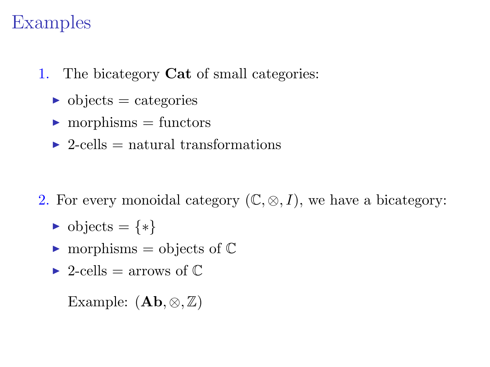## Examples

- 1. The bicategory Cat of small categories:
	- $\triangleright$  objects = categories
	- $\blacktriangleright$  morphisms = functors
	- $\geq$  2-cells = natural transformations

- 2. For every monoidal category  $(\mathbb{C}, \otimes, I)$ , we have a bicategory:
	- $\rightarrow$  objects =  $\{*\}$
	- $\blacktriangleright$  morphisms = objects of  $\mathbb C$
	- $\blacktriangleright$  2-cells = arrows of  $\mathbb C$

Example:  $(Ab, \otimes, \mathbb{Z})$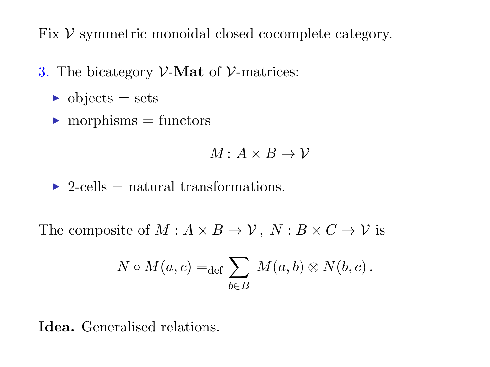Fix  $V$  symmetric monoidal closed cocomplete category.

- 3. The bicategory  $\mathcal V$ -Mat of  $\mathcal V$ -matrices:
	- $\triangleright$  objects = sets
	- $\blacktriangleright$  morphisms = functors

 $M \cdot A \times B \rightarrow V$ 

 $\triangleright$  2-cells = natural transformations.

The composite of  $M : A \times B \to V$ ,  $N : B \times C \to V$  is

$$
N \circ M(a, c) =_{def} \sum_{b \in B} M(a, b) \otimes N(b, c).
$$

Idea. Generalised relations.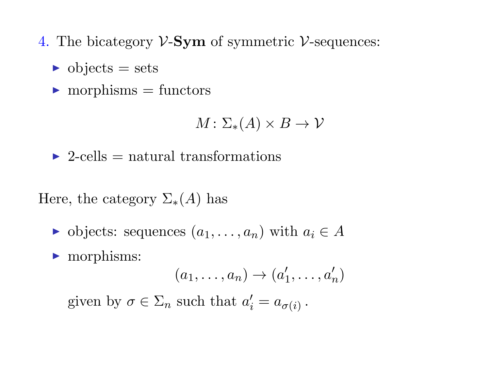- 4. The bicategory  $\mathcal{V}\text{-}\mathbf{Sym}$  of symmetric  $\mathcal{V}\text{-}\mathrm{sequences}$ :
	- $\triangleright$  objects = sets
	- $\triangleright$  morphisms = functors

$$
M\colon \Sigma_*(A)\times B\to \mathcal{V}
$$

 $\triangleright$  2-cells = natural transformations

Here, the category  $\Sigma_*(A)$  has

- ightharpoontal objects: sequences  $(a_1, \ldots, a_n)$  with  $a_i \in A$
- $\blacktriangleright$  morphisms:

$$
(a_1,\ldots,a_n)\to(a'_1,\ldots,a'_n)
$$

given by  $\sigma \in \Sigma_n$  such that  $a'_i = a_{\sigma(i)}$ .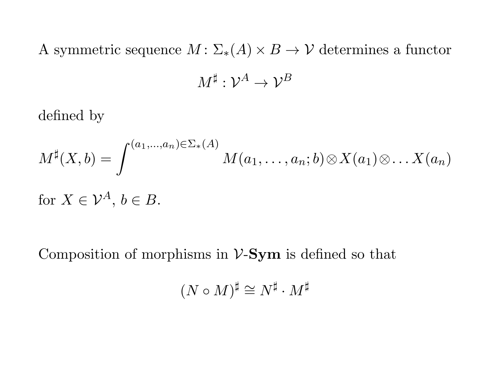A symmetric sequence  $M: \Sigma_*(A) \times B \to V$  determines a functor  $M^\sharp: \mathcal{V}^A \rightarrow \mathcal{V}^B$ 

defined by

$$
M^{\sharp}(X,b) = \int^{(a_1,\ldots,a_n)\in\Sigma_*(A)} M(a_1,\ldots,a_n;b) \otimes X(a_1) \otimes \ldots X(a_n)
$$
  
for  $X \in \mathcal{V}^A$ ,  $b \in B$ .

Composition of morphisms in  $V-Sym$  is defined so that

$$
(N \circ M)^{\sharp} \cong N^{\sharp} \cdot M^{\sharp}
$$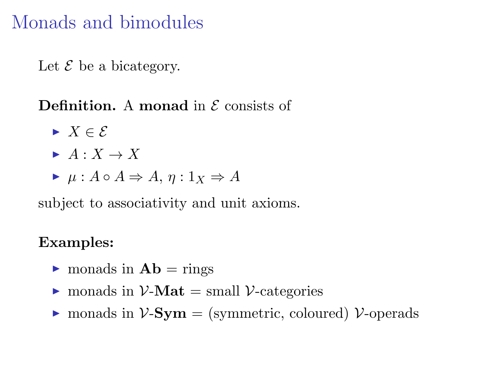## Monads and bimodules

Let  $\mathcal E$  be a bicategory.

**Definition.** A monad in  $\mathcal E$  consists of

- $\blacktriangleright$   $X \in \mathcal{E}$
- $\blacktriangleright$   $A: X \rightarrow X$
- $\blacktriangleright$   $\mu: A \circ A \Rightarrow A, \eta: 1_X \Rightarrow A$

subject to associativity and unit axioms.

#### Examples:

- $\triangleright$  monads in  $Ab = \text{rings}$
- $\triangleright$  monads in  $\mathcal{V}\text{-}\mathbf{Mat} = \text{small }\mathcal{V}\text{-categories}$
- $\triangleright$  monads in  $V-Sym =$  (symmetric, coloured) V-operads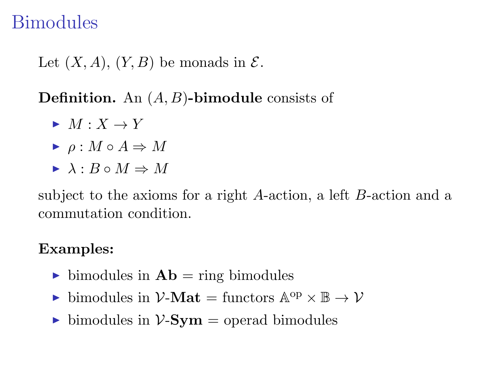### Bimodules

Let  $(X, A), (Y, B)$  be monads in  $\mathcal{E}.$ 

**Definition.** An  $(A, B)$ -bimodule consists of

- $M \cdot X \rightarrow Y$
- $\blacktriangleright$   $\rho: M \circ A \Rightarrow M$
- $\blacktriangleright \lambda : B \circ M \Rightarrow M$

subject to the axioms for a right A-action, a left B-action and a commutation condition.

#### Examples:

- ightharpoontring bimodules in  $\mathbf{Ab} = \text{ring of } \text{bimodules}$
- bimodules in  $\mathcal{V}\text{-}\mathbf{Mat} =$  functors  $\mathbb{A}^{\text{op}} \times \mathbb{B} \to \mathcal{V}$
- ightharpoontriangleright bimodules in  $V-Sym =$  operad bimodules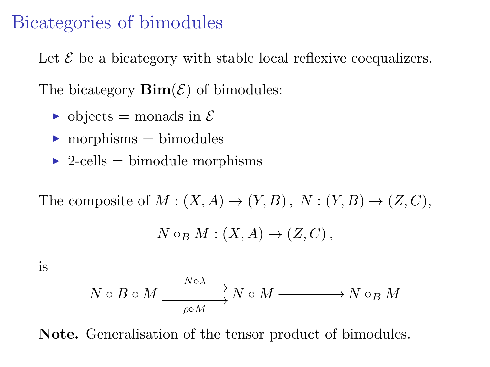### Bicategories of bimodules

Let  $\mathcal E$  be a bicategory with stable local reflexive coequalizers.

The bicategory  $\text{Bim}(\mathcal{E})$  of bimodules:

- $\triangleright$  objects = monads in  $\mathcal E$
- $\triangleright$  morphisms = bimodules
- $\triangleright$  2-cells = bimodule morphisms

The composite of  $M : (X, A) \to (Y, B)$ ,  $N : (Y, B) \to (Z, C)$ ,

$$
N\circ_B M:(X,A)\to (Z,C)\,,
$$

is

$$
N \circ B \circ M \xrightarrow{\phantom{N \circ \lambda} N \circ M} N \circ M \xrightarrow{\phantom{N \circ \lambda} N \circ M} N \circ_B M
$$

Note. Generalisation of the tensor product of bimodules.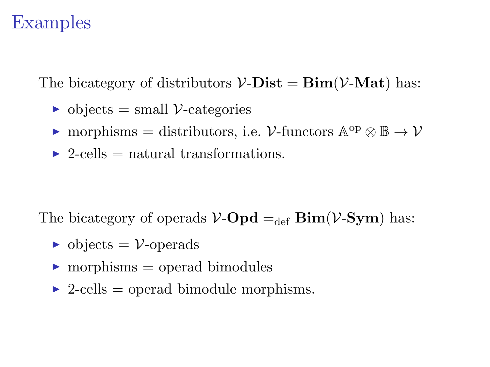### Examples

The bicategory of distributors  $V\text{-}Dist = \text{Bim}(V\text{-}Mat)$  has:

- $\triangleright$  objects = small *V*-categories
- ► morphisms = distributors, i.e.  $\mathcal{V}\text{-functors } \mathbb{A}^{\text{op}} \otimes \mathbb{B} \to \mathcal{V}$
- $\triangleright$  2-cells = natural transformations.

The bicategory of operads  $V$ -Opd  $=_{def}$  Bim( $V$ -Sym) has:

- $\triangleright$  objects =  $\mathcal{V}$ -operads
- $\triangleright$  morphisms = operad bimodules
- $\triangleright$  2-cells = operad bimodule morphisms.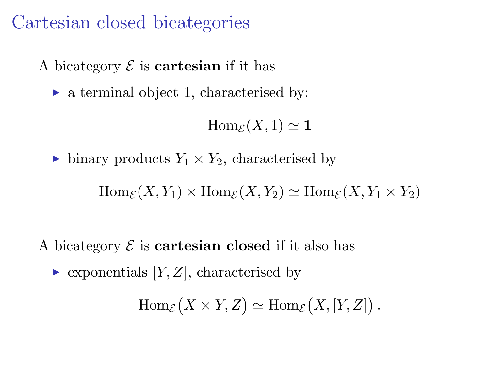## Cartesian closed bicategories

#### A bicategory  $\mathcal E$  is **cartesian** if it has

 $\triangleright$  a terminal object 1, characterised by:

 $\text{Hom}_{\mathcal{E}}(X,1) \simeq 1$ 

ightharpoonucts  $Y_1 \times Y_2$ , characterised by

 $\text{Hom}_{\mathcal{E}}(X, Y_1) \times \text{Hom}_{\mathcal{E}}(X, Y_2) \simeq \text{Hom}_{\mathcal{E}}(X, Y_1 \times Y_2)$ 

- A bicategory  $\mathcal E$  is **cartesian closed** if it also has
	- $\blacktriangleright$  exponentials  $[Y, Z]$ , characterised by

 $\text{Hom}_{\mathcal{E}}(X \times Y, Z) \simeq \text{Hom}_{\mathcal{E}}(X, [Y, Z])$ .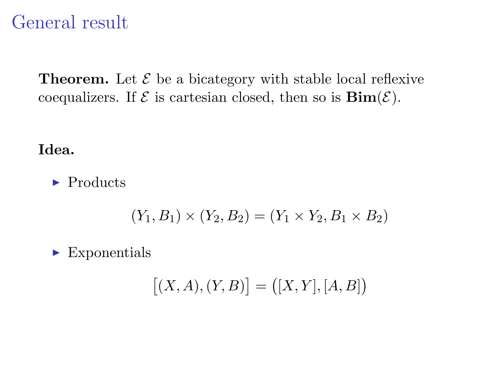### General result

**Theorem.** Let  $\mathcal{E}$  be a bicategory with stable local reflexive coequalizers. If  $\mathcal E$  is cartesian closed, then so is  $\text{Bim}(\mathcal E)$ .

Idea.

 $\blacktriangleright$  Products

$$
(Y_1, B_1) \times (Y_2, B_2) = (Y_1 \times Y_2, B_1 \times B_2)
$$

 $\blacktriangleright$  Exponentials

$$
\big[(X,A),(Y,B)\big]=\big([X,Y],[A,B]\big)
$$